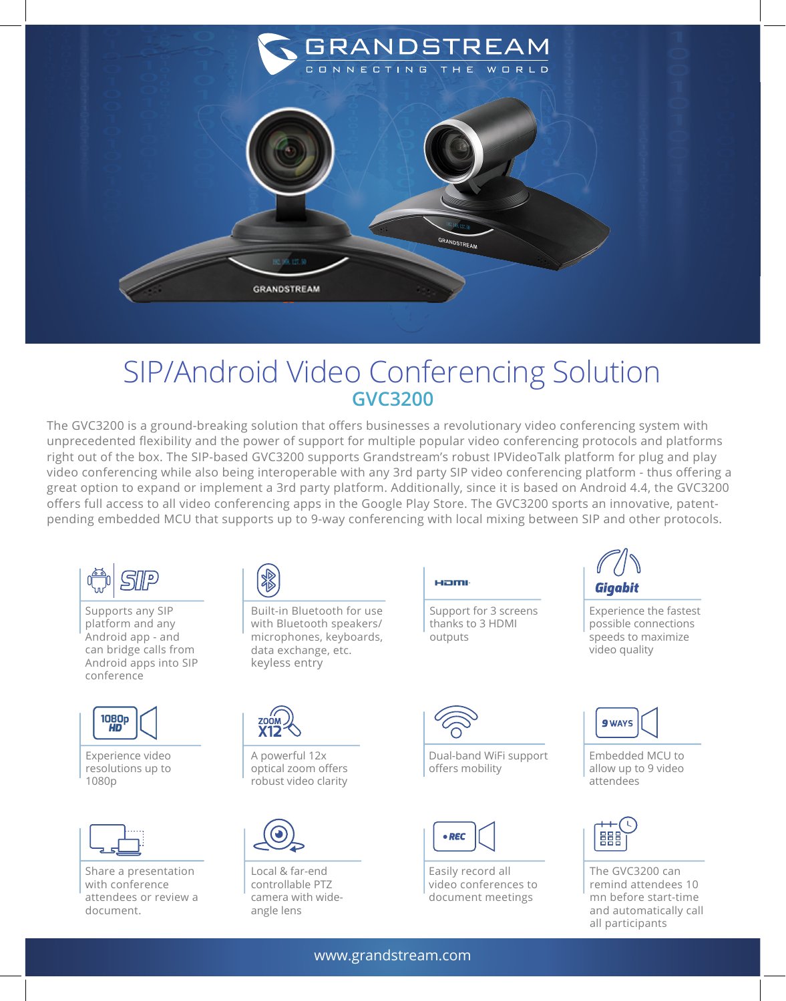

## SIP/Android Video Conferencing Solution **GVC3200**

The GVC3200 is a ground-breaking solution that offers businesses a revolutionary video conferencing system with unprecedented flexibility and the power of support for multiple popular video conferencing protocols and platforms right out of the box. The SIP-based GVC3200 supports Grandstream's robust IPVideoTalk platform for plug and play video conferencing while also being interoperable with any 3rd party SIP video conferencing platform - thus offering a great option to expand or implement a 3rd party platform. Additionally, since it is based on Android 4.4, the GVC3200 offers full access to all video conferencing apps in the Google Play Store. The GVC3200 sports an innovative, patentpending embedded MCU that supports up to 9-way conferencing with local mixing between SIP and other protocols.



Supports any SIP platform and any Android app - and can bridge calls from Android apps into SIP conference



Experience video resolutions up to 1080p



Share a presentation with conference attendees or review a document.



Built-in Bluetooth for use with Bluetooth speakers/ microphones, keyboards, data exchange, etc. keyless entry



A powerful 12x optical zoom offers robust video clarity



Local & far-end controllable PTZ camera with wideangle lens



outputs

**Ham** 

Dual-band WiFi support offers mobility

Support for 3 screens thanks to 3 HDMI



Easily record all video conferences to document meetings



Experience the fastest possible connections speeds to maximize video quality



Embedded MCU to allow up to 9 video attendees



The GVC3200 can remind attendees 10 mn before start-time and automatically call all participants

www.grandstream.com